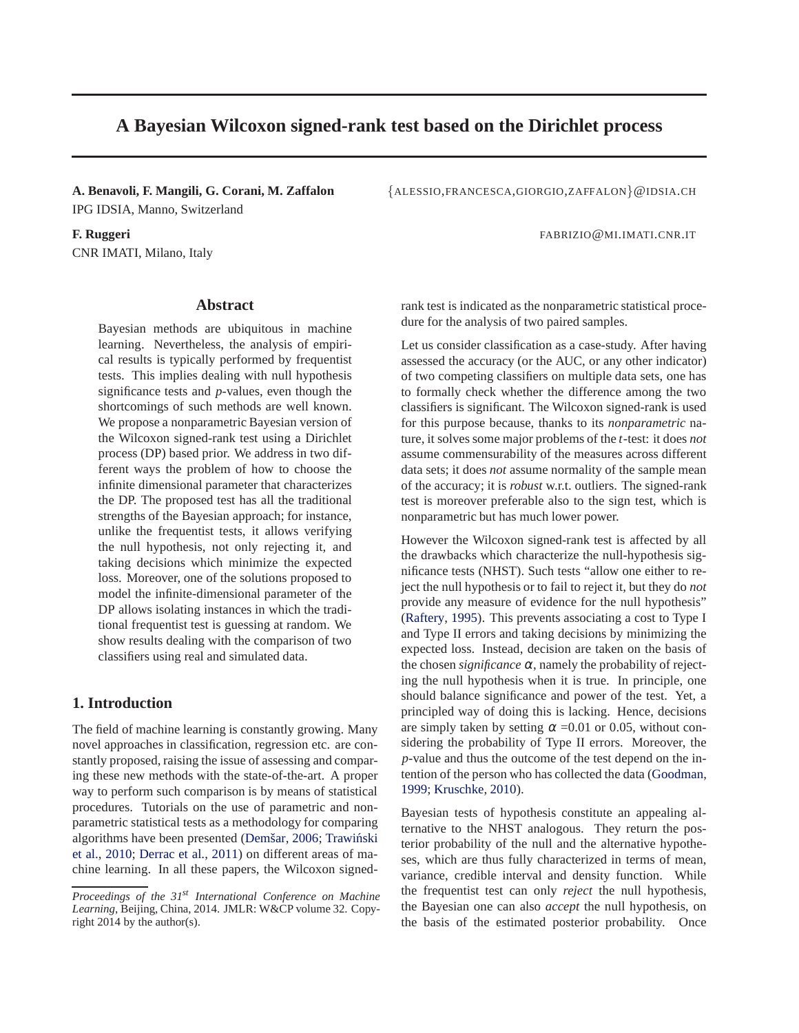# **A Bayesian Wilcoxon signed-rank test based on the Dirichlet process**

IPG IDSIA, Manno, Switzerland

CNR IMATI, Milano, Italy

## **Abstract**

Bayesian methods are ubiquitous in machine learning. Nevertheless, the analysis of empirical results is typically performed by frequentist tests. This implies dealing with null hypothesis significance tests and *p*-values, even though the shortcomings of such methods are well known. We propose a nonparametric Bayesian version of the Wilcoxon signed-rank test using a Dirichlet process (DP) based prior. We address in two different ways the problem of how to choose the infinite dimensional parameter that characterizes the DP. The proposed test has all the traditional strengths of the Bayesian approach; for instance, unlike the frequentist tests, it allows verifying the null hypothesis, not only rejecting it, and taking decisions which minimize the expected loss. Moreover, one of the solutions proposed to model the infinite-dimensional parameter of the DP allows isolating instances in which the traditional frequentist test is guessing at random. We show results dealing with the comparison of two classifiers using real and simulated data.

## **1. Introduction**

The field of machine learning is constantly growing. Many novel approaches in classification, regression etc. are constantly proposed, raising the issue of assessing and comparing these new methods with the state-of-the-art. A proper way to perform such comparison is by means of statistical procedures. Tutorials on the use of parametric and nonparametric statistical tests as a methodology for comparing algorithms have been presented (Demšar, [2006](#page-8-0); Trawiński et al., [2010](#page-8-0); [Derrac et al.,](#page-8-0) [2011\)](#page-8-0) on different areas of machine learning. In all these papers, the Wilcoxon signed-

**A. Benavoli, F. Mangili, G. Corani, M. Zaffalon** {ALESSIO,FRANCESCA,GIORGIO,ZAFFALON}@IDSIA.CH

**F. Ruggeri** FABRIZIO@MI.IMATI.CNR.IT

rank test is indicated as the nonparametric statistical procedure for the analysis of two paired samples.

Let us consider classification as a case-study. After having assessed the accuracy (or the AUC, or any other indicator) of two competing classifiers on multiple data sets, one has to formally check whether the difference among the two classifiers is significant. The Wilcoxon signed-rank is used for this purpose because, thanks to its *nonparametric* nature, it solves some major problems of the *t*-test: it does *not* assume commensurability of the measures across different data sets; it does *not* assume normality of the sample mean of the accuracy; it is *robust* w.r.t. outliers. The signed-rank test is moreover preferable also to the sign test, which is nonparametric but has much lower power.

However the Wilcoxon signed-rank test is affected by all the drawbacks which characterize the null-hypothesis significance tests (NHST). Such tests "allow one either to reject the null hypothesis or to fail to reject it, but they do *not* provide any measure of evidence for the null hypothesis" [\(Raftery,](#page-8-0) [1995](#page-8-0)). This prevents associating a cost to Type I and Type II errors and taking decisions by minimizing the expected loss. Instead, decision are taken on the basis of the chosen *significance*  $\alpha$ , namely the probability of rejecting the null hypothesis when it is true. In principle, one should balance significance and power of the test. Yet, a principled way of doing this is lacking. Hence, decisions are simply taken by setting  $\alpha$  =0.01 or 0.05, without considering the probability of Type II errors. Moreover, the *p*-value and thus the outcome of the test depend on the intention of the person who has collected the data [\(Goodman](#page-8-0), [1999;](#page-8-0) [Kruschke,](#page-8-0) [2010\)](#page-8-0).

Bayesian tests of hypothesis constitute an appealing alternative to the NHST analogous. They return the posterior probability of the null and the alternative hypotheses, which are thus fully characterized in terms of mean, variance, credible interval and density function. While the frequentist test can only *reject* the null hypothesis, the Bayesian one can also *accept* the null hypothesis, on the basis of the estimated posterior probability. Once

*Proceedings of the 31st International Conference on Machine Learning*, Beijing, China, 2014. JMLR: W&CP volume 32. Copyright 2014 by the author(s).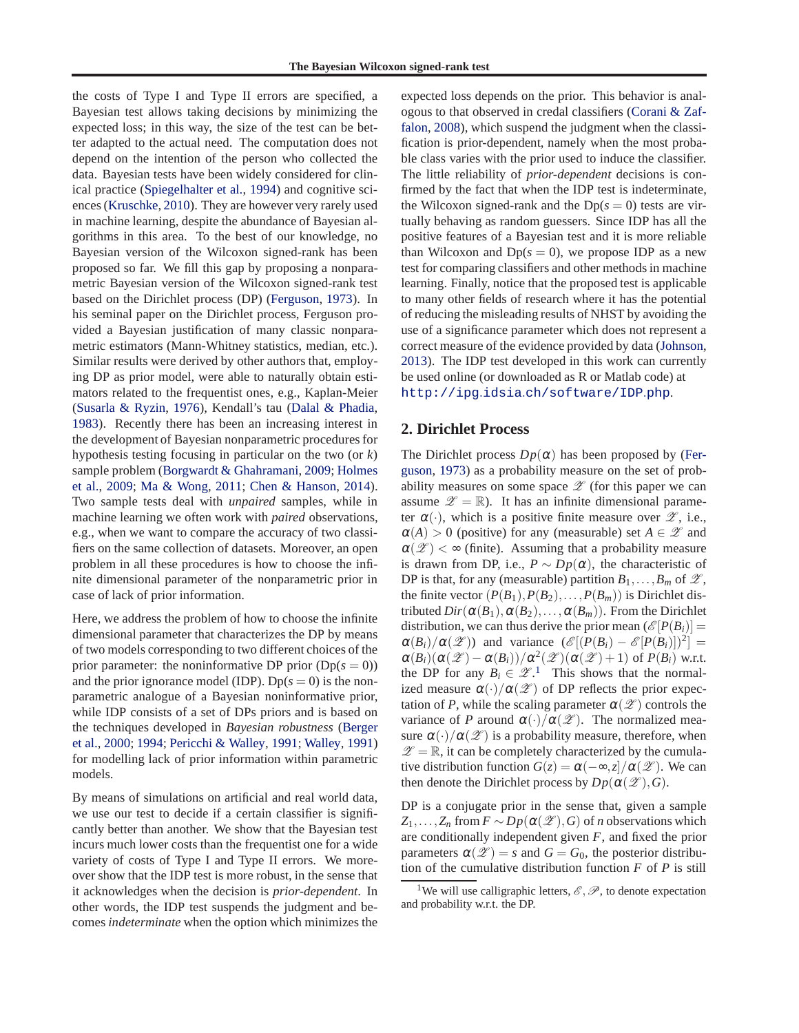the costs of Type I and Type II errors are specified, a Bayesian test allows taking decisions by minimizing the expected loss; in this way, the size of the test can be better adapted to the actual need. The computation does not depend on the intention of the person who collected the data. Bayesian tests have been widely considered for clinical practice [\(Spiegelhalter et al.](#page-8-0), [1994\)](#page-8-0) and cognitive sciences [\(Kruschke](#page-8-0), [2010\)](#page-8-0). They are however very rarely used in machine learning, despite the abundance of Bayesian algorithms in this area. To the best of our knowledge, no Bayesian version of the Wilcoxon signed-rank has been proposed so far. We fill this gap by proposing a nonparametric Bayesian version of the Wilcoxon signed-rank test based on the Dirichlet process (DP) [\(Ferguson,](#page-8-0) [1973](#page-8-0)). In his seminal paper on the Dirichlet process, Ferguson provided a Bayesian justification of many classic nonparametric estimators (Mann-Whitney statistics, median, etc.). Similar results were derived by other authors that, employing DP as prior model, were able to naturally obtain estimators related to the frequentist ones, e.g., Kaplan-Meier [\(Susarla & Ryzin,](#page-8-0) [1976](#page-8-0)), Kendall's tau [\(Dalal & Phadia](#page-8-0), [1983\)](#page-8-0). Recently there has been an increasing interest in the development of Bayesian nonparametric procedures for hypothesis testing focusing in particular on the two (or *k*) sam[ple problem \(Borgwardt & Ghahramani,](#page-8-0) [2009;](#page-8-0) Holmes et al., [2009;](#page-8-0) [Ma & Wong](#page-8-0), [2011;](#page-8-0) [Chen & Hanson,](#page-8-0) [2014\)](#page-8-0). Two sample tests deal with *unpaired* samples, while in machine learning we often work with *paired* observations, e.g., when we want to compare the accuracy of two classifiers on the same collection of datasets. Moreover, an open problem in all these procedures is how to choose the infinite dimensional parameter of the nonparametric prior in case of lack of prior information.

Here, we address the problem of how to choose the infinite dimensional parameter that characterizes the DP by means of two models corresponding to two different choices of the prior parameter: the noninformative DP prior  $(Dp(s = 0))$ and the prior ignorance model (IDP). Dp $(s = 0)$  is the nonparametric analogue of a Bayesian noninformative prior, while IDP consists of a set of DPs priors and is based on the t[echniques developed in](#page-8-0) *Bayesian robustness* (Berger et al., [2000;](#page-8-0) [1994](#page-8-0); [Pericchi & Walley](#page-8-0), [1991](#page-8-0); [Walley](#page-8-0), [1991](#page-8-0)) for modelling lack of prior information within parametric models.

By means of simulations on artificial and real world data, we use our test to decide if a certain classifier is significantly better than another. We show that the Bayesian test incurs much lower costs than the frequentist one for a wide variety of costs of Type I and Type II errors. We moreover show that the IDP test is more robust, in the sense that it acknowledges when the decision is *prior-dependent*. In other words, the IDP test suspends the judgment and becomes *indeterminate* when the option which minimizes the expected loss depends on the prior. This behavior is analogou[s to that observed in credal classifiers \(](#page-8-0)Corani & Zaffalon, [2008\)](#page-8-0), which suspend the judgment when the classification is prior-dependent, namely when the most probable class varies with the prior used to induce the classifier. The little reliability of *prior-dependent* decisions is confirmed by the fact that when the IDP test is indeterminate, the Wilcoxon signed-rank and the  $Dp(s = 0)$  tests are virtually behaving as random guessers. Since IDP has all the positive features of a Bayesian test and it is more reliable than Wilcoxon and  $Dp(s = 0)$ , we propose IDP as a new test for comparing classifiers and other methods in machine learning. Finally, notice that the proposed test is applicable to many other fields of research where it has the potential of reducing the misleading results of NHST by avoiding the use of a significance parameter which does not represent a correct measure of the evidence provided by data [\(Johnson](#page-8-0), [2013\)](#page-8-0). The IDP test developed in this work can currently be used online (or downloaded as R or Matlab code) at http://ipg.idsia.[ch/software/IDP](http://ipg.idsia.ch/software/IDP.php).php.

## **2. Dirichlet Process**

The Dirichlet process  $Dp(\alpha)$  [has been proposed by \(](#page-8-0)Ferguson, [1973](#page-8-0)) as a probability measure on the set of probability measures on some space  $\mathscr Z$  (for this paper we can assume  $\mathscr{Z} = \mathbb{R}$ . It has an infinite dimensional parameter  $\alpha(\cdot)$ , which is a positive finite measure over  $\mathscr{Z}$ , i.e.,  $\alpha(A) > 0$  (positive) for any (measurable) set  $A \in \mathscr{Z}$  and  $\alpha(\mathscr{Z}) < \infty$  (finite). Assuming that a probability measure is drawn from DP, i.e.,  $P \sim Dp(\alpha)$ , the characteristic of DP is that, for any (measurable) partition  $B_1, \ldots, B_m$  of  $\mathscr{Z}$ , the finite vector  $(P(B_1), P(B_2), \ldots, P(B_m))$  is Dirichlet distributed  $Dir(\alpha(B_1), \alpha(B_2),..., \alpha(B_m))$ . From the Dirichlet distribution, we can thus derive the prior mean  $(\mathscr{E}[P(B_i)] =$  $\alpha(B_i)/\alpha(\mathscr{Z})$  and variance  $(\mathscr{E}[(P(B_i) - \mathscr{E}[P(B_i)])^2] =$  $\alpha(B_i)(\alpha(\mathscr{Z}) - \alpha(B_i))/\alpha^2(\mathscr{Z})(\alpha(\mathscr{Z})+1)$  of  $P(B_i)$  w.r.t. the DP for any  $B_i \in \mathcal{L}^1$ . This shows that the normalized measure  $\alpha(\cdot)/\alpha(\mathscr{Z})$  of DP reflects the prior expectation of *P*, while the scaling parameter  $\alpha(\mathscr{Z})$  controls the variance of *P* around  $\alpha(\cdot)/\alpha(\mathscr{Z})$ . The normalized measure  $\alpha(\cdot)/\alpha(\mathscr{L})$  is a probability measure, therefore, when  $\mathscr{Z} = \mathbb{R}$ , it can be completely characterized by the cumulative distribution function  $G(z) = \alpha(-\infty, z]/\alpha(\mathscr{L})$ . We can then denote the Dirichlet process by  $Dp(\alpha(\mathscr{L}), G)$ .

DP is a conjugate prior in the sense that, given a sample  $Z_1, \ldots, Z_n$  from  $F \sim Dp(\alpha(\mathscr{L}), G)$  of *n* observations which are conditionally independent given *F*, and fixed the prior parameters  $\alpha(\mathscr{Z}) = s$  and  $G = G_0$ , the posterior distribution of the cumulative distribution function *F* of *P* is still

<sup>&</sup>lt;sup>1</sup>We will use calligraphic letters,  $\mathcal{E}, \mathcal{P}$ , to denote expectation and probability w.r.t. the DP.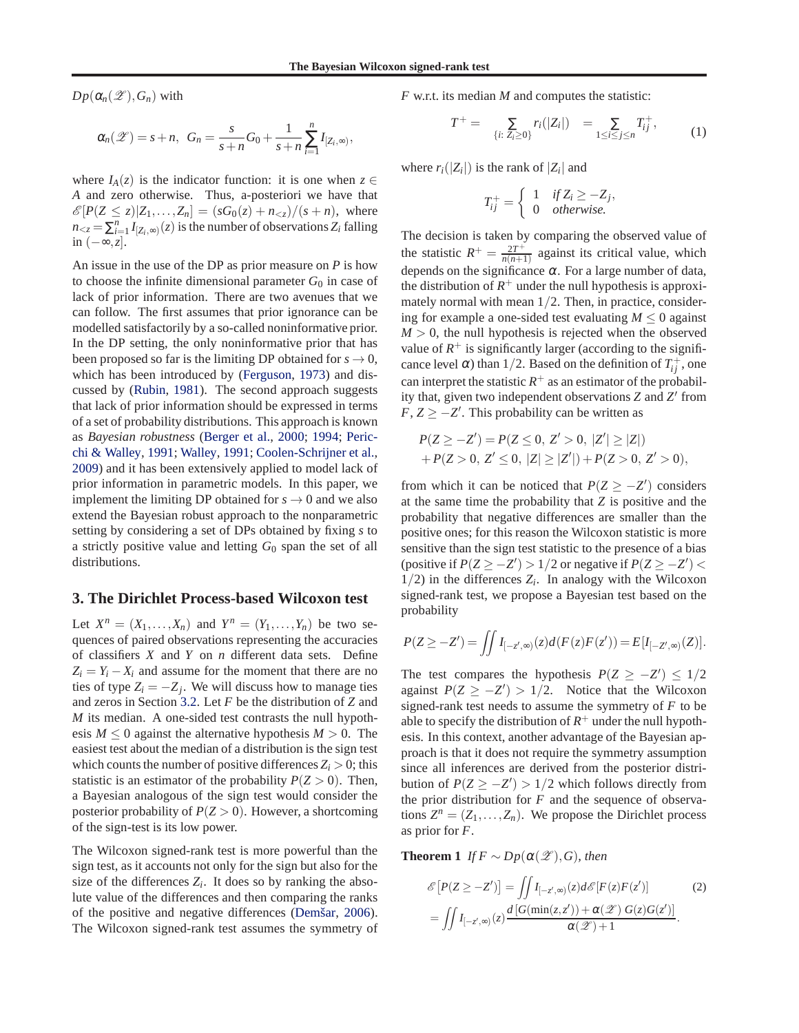<span id="page-2-0"></span> $Dp(\alpha_n(\mathscr{Z}), G_n)$  with

$$
\alpha_n(\mathscr{Z})=s+n, \ \ G_n=\frac{s}{s+n}G_0+\frac{1}{s+n}\sum_{i=1}^nI_{[Z_i,\infty)},
$$

where  $I_A(z)$  is the indicator function: it is one when  $z \in$ *A* and zero otherwise. Thus, a-posteriori we have that  $\mathscr{E}[P(Z \leq z)|Z_1,\ldots,Z_n] = (sG_0(z) + n_{\leq z})/(s+n),$  where  $n_{\leq z} = \sum_{i=1}^{n} I_{[Z_i, \infty)}(z)$  is the number of observations  $Z_i$  falling in (−∞,*z*].

An issue in the use of the DP as prior measure on *P* is how to choose the infinite dimensional parameter  $G_0$  in case of lack of prior information. There are two avenues that we can follow. The first assumes that prior ignorance can be modelled satisfactorily by a so-called noninformative prior. In the DP setting, the only noninformative prior that has been proposed so far is the limiting DP obtained for  $s \to 0$ , which has been introduced by [\(Ferguson,](#page-8-0) [1973\)](#page-8-0) and discussed by [\(Rubin](#page-8-0), [1981](#page-8-0)). The second approach suggests that lack of prior information should be expressed in terms of a set of probability distributions. This approach is known as *Bayesian robustness* [\(Berger et al.,](#page-8-0) [2000](#page-8-0); [1994;](#page-8-0) Pericchi & Walley, [1991](#page-8-0); [Walley](#page-8-0), [1991](#page-8-0); [Coolen-Schrijner et al.](#page-8-0), [2009\)](#page-8-0) and it has been extensively applied to model lack of prior information in parametric models. In this paper, we implement the limiting DP obtained for  $s \to 0$  and we also extend the Bayesian robust approach to the nonparametric setting by considering a set of DPs obtained by fixing *s* to a strictly positive value and letting  $G_0$  span the set of all distributions.

## **3. The Dirichlet Process-based Wilcoxon test**

Let  $X^n = (X_1, ..., X_n)$  and  $Y^n = (Y_1, ..., Y_n)$  be two sequences of paired observations representing the accuracies of classifiers *X* and *Y* on *n* different data sets. Define  $Z_i = Y_i - X_i$  and assume for the moment that there are no ties of type  $Z_i = -Z_j$ . We will discuss how to manage ties and zeros in Section [3.2.](#page-5-0) Let *F* be the distribution of *Z* and *M* its median. A one-sided test contrasts the null hypothesis  $M \leq 0$  against the alternative hypothesis  $M > 0$ . The easiest test about the median of a distribution is the sign test which counts the number of positive differences  $Z_i > 0$ ; this statistic is an estimator of the probability  $P(Z > 0)$ . Then, a Bayesian analogous of the sign test would consider the posterior probability of  $P(Z > 0)$ . However, a shortcoming of the sign-test is its low power.

The Wilcoxon signed-rank test is more powerful than the sign test, as it accounts not only for the sign but also for the size of the differences  $Z_i$ . It does so by ranking the absolute value of the differences and then comparing the ranks of the positive and negative differences (Demšar, [2006\)](#page-8-0). The Wilcoxon signed-rank test assumes the symmetry of *F* w.r.t. its median *M* and computes the statistic:

$$
T^{+} = \sum_{\{i: Z_{i} \geq 0\}} r_{i}(|Z_{i}|) = \sum_{1 \leq i \leq j \leq n} T^{+}_{ij}, \qquad (1)
$$

,

where  $r_i(|Z_i|)$  is the rank of  $|Z_i|$  and

$$
T_{ij}^{+} = \begin{cases} 1 & \text{if } Z_i \ge -Z_j \\ 0 & \text{otherwise.} \end{cases}
$$

The decision is taken by comparing the observed value of the statistic  $R^+ = \frac{2T^+}{n(n+1)}$  $\frac{2T^+}{n(n+1)}$  against its critical value, which depends on the significance  $\alpha$ . For a large number of data, the distribution of  $R^+$  under the null hypothesis is approximately normal with mean  $1/2$ . Then, in practice, considering for example a one-sided test evaluating  $M \leq 0$  against  $M > 0$ , the null hypothesis is rejected when the observed value of  $R^+$  is significantly larger (according to the significance level  $\alpha$ ) than 1/2. Based on the definition of  $T^+_{ij}$ , one can interpret the statistic  $R^+$  as an estimator of the probability that, given two independent observations *Z* and *Z* ′ from  $F, Z \geq -Z'$ . This probability can be written as

$$
P(Z \ge -Z') = P(Z \le 0, Z' > 0, |Z'| \ge |Z|)
$$
  
+ P(Z > 0, Z' \le 0, |Z| \ge |Z'|)+ P(Z > 0, Z' > 0),

from which it can be noticed that  $P(Z \ge -Z')$  considers at the same time the probability that *Z* is positive and the probability that negative differences are smaller than the positive ones; for this reason the Wilcoxon statistic is more sensitive than the sign test statistic to the presence of a bias (positive if  $P(Z \ge -Z') > 1/2$  or negative if  $P(Z \ge -Z') <$  $1/2$ ) in the differences  $Z_i$ . In analogy with the Wilcoxon signed-rank test, we propose a Bayesian test based on the probability

$$
P(Z \ge -Z') = \iint I_{[-z',\infty)}(z) d(F(z)F(z')) = E[I_{[-Z',\infty)}(Z)].
$$

The test compares the hypothesis  $P(Z \ge -Z') \le 1/2$ against  $P(Z \ge -Z') > 1/2$ . Notice that the Wilcoxon signed-rank test needs to assume the symmetry of *F* to be able to specify the distribution of  $R^+$  under the null hypothesis. In this context, another advantage of the Bayesian approach is that it does not require the symmetry assumption since all inferences are derived from the posterior distribution of  $P(Z \ge -Z') > 1/2$  which follows directly from the prior distribution for *F* and the sequence of observations  $Z^n = (Z_1, \ldots, Z_n)$ . We propose the Dirichlet process as prior for *F*.

**Theorem 1** *If*  $F \sim Dp(\alpha(\mathscr{L}), G)$ *, then* 

$$
\mathcal{E}\left[P(Z \ge -Z')\right] = \iint I_{[-z',\infty)}(z) d\mathcal{E}\left[F(z)F(z')\right] \tag{2}
$$

$$
= \iint I_{[-z',\infty)}(z) \frac{d\left[G(\min(z,z')) + \alpha(\mathscr{L})\ G(z)G(z')\right]}{\alpha(\mathscr{L}) + 1}.
$$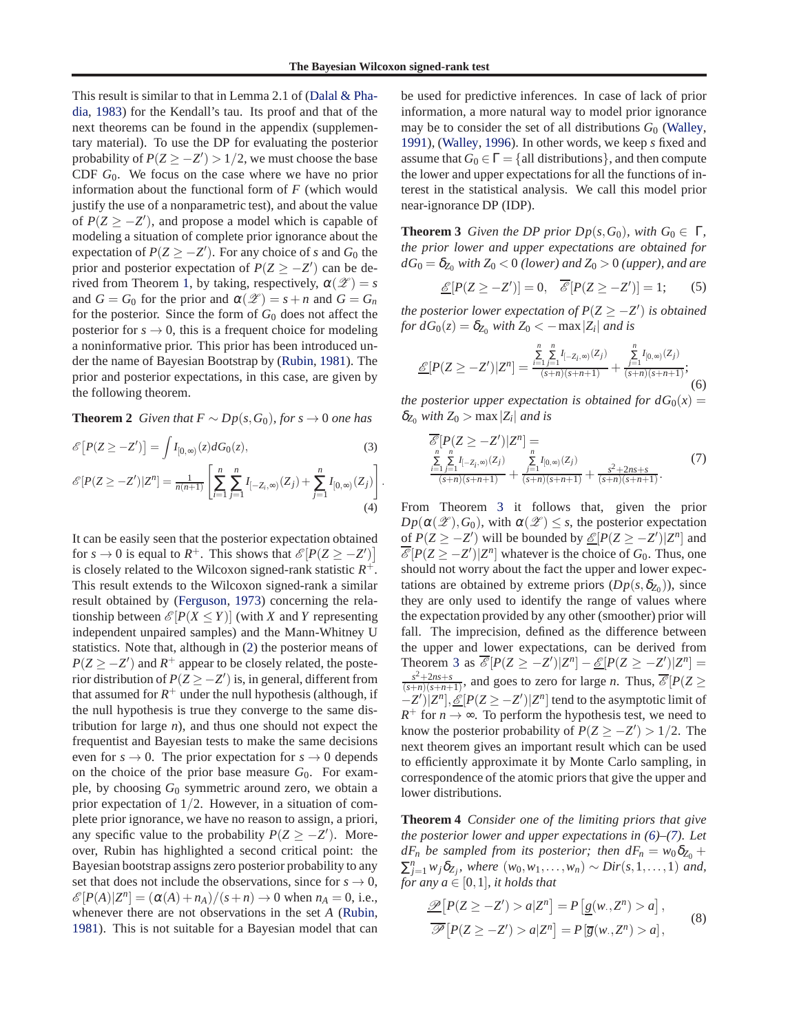<span id="page-3-0"></span>Th[is result is similar to that in Lemma 2.1 of \(](#page-8-0)Dalal & Phadia, [1983\)](#page-8-0) for the Kendall's tau. Its proof and that of the next theorems can be found in the appendix (supplementary material). To use the DP for evaluating the posterior probability of  $P(Z \ge -Z') > 1/2$ , we must choose the base CDF *G*0. We focus on the case where we have no prior information about the functional form of *F* (which would justify the use of a nonparametric test), and about the value of  $P(Z \ge -Z')$ , and propose a model which is capable of modeling a situation of complete prior ignorance about the expectation of  $P(Z \ge -Z')$ . For any choice of *s* and  $G_0$  the prior and posterior expectation of  $P(Z \ge -Z')$  can be de-rived from Theorem [1,](#page-2-0) by taking, respectively,  $\alpha(\mathscr{Z}) = s$ and  $G = G_0$  for the prior and  $\alpha(\mathscr{Z}) = s + n$  and  $G = G_n$ for the posterior. Since the form of  $G_0$  does not affect the posterior for  $s \to 0$ , this is a frequent choice for modeling a noninformative prior. This prior has been introduced under the name of Bayesian Bootstrap by [\(Rubin](#page-8-0), [1981](#page-8-0)). The prior and posterior expectations, in this case, are given by the following theorem.

**Theorem 2** *Given that*  $F ∼ Dp(s, G_0)$ *, for*  $s → 0$  *one has* 

$$
\mathscr{E}\big[P(Z \ge -Z'\big)\big] = \int I_{[0,\infty)}(z) dG_0(z),\tag{3}
$$

$$
\mathcal{E}[P(Z \ge -Z')]Z^{n}] = \frac{1}{n(n+1)} \left[ \sum_{i=1}^{n} \sum_{j=1}^{n} I_{[-Z_{i}, \infty)}(Z_{j}) + \sum_{j=1}^{n} I_{[0, \infty)}(Z_{j}) \right].
$$
\n(4)

It can be easily seen that the posterior expectation obtained for  $s \to 0$  is equal to  $R^+$ . This shows that  $\mathcal{E}[P(Z \ge -Z')]$ is closely related to the Wilcoxon signed-rank statistic  $R^+$ . This result extends to the Wilcoxon signed-rank a similar result obtained by [\(Ferguson](#page-8-0), [1973](#page-8-0)) concerning the relationship between  $\mathcal{E}[P(X \leq Y)]$  (with *X* and *Y* representing independent unpaired samples) and the Mann-Whitney U statistics. Note that, although in (2) the posterior means of  $P(Z \ge -Z')$  and  $R^+$  appear to be closely related, the posterior distribution of  $P(Z \ge -Z')$  is, in general, different from that assumed for  $R^+$  under the null hypothesis (although, if the null hypothesis is true they converge to the same distribution for large *n*), and thus one should not expect the frequentist and Bayesian tests to make the same decisions even for  $s \to 0$ . The prior expectation for  $s \to 0$  depends on the choice of the prior base measure  $G_0$ . For example, by choosing *G*<sup>0</sup> symmetric around zero, we obtain a prior expectation of  $1/2$ . However, in a situation of complete prior ignorance, we have no reason to assign, a priori, any specific value to the probability  $P(Z \ge -Z')$ . Moreover, Rubin has highlighted a second critical point: the Bayesian bootstrap assigns zero posterior probability to any set that does not include the observations, since for  $s \to 0$ ,  $\mathcal{E}[P(A)|Z^n] = (\alpha(A) + n_A)/(s+n) \to 0$  when  $n_A = 0$ , i.e., whenever there are not observations in the set *A* [\(Rubin](#page-8-0), [1981\)](#page-8-0). This is not suitable for a Bayesian model that can

be used for predictive inferences. In case of lack of prior information, a more natural way to model prior ignorance may be to consider the set of all distributions *G*<sup>0</sup> [\(Walley](#page-8-0), [1991\)](#page-8-0), [\(Walley,](#page-8-0) [1996\)](#page-8-0). In other words, we keep *s* fixed and assume that  $G_0 \in \Gamma = \{all \text{ distributions}\}\$ , and then compute the lower and upper expectations for all the functions of interest in the statistical analysis. We call this model prior near-ignorance DP (IDP).

**Theorem 3** *Given the DP prior Dp*( $s$ , $G$ <sub>0</sub>)*, with*  $G$ <sub>0</sub>  $\in$  Γ*, the prior lower and upper expectations are obtained for*  $dG_0 = \delta_{Z_0}$  *with*  $Z_0 < 0$  *(lower)* and  $Z_0 > 0$  *(upper), and are* 

$$
\underline{\mathcal{E}}[P(Z \ge -Z')] = 0, \quad \overline{\mathcal{E}}[P(Z \ge -Z')] = 1; \qquad (5)
$$

*the posterior lower expectation of*  $P(Z \ge -Z')$  *is obtained for*  $dG_0(z) = \delta_{Z_0}$  *with*  $Z_0 < -\max |Z_i|$  *and is* 

$$
\underline{\mathscr{E}}[P(Z \ge -Z')|Z^n] = \frac{\sum\limits_{i=1}^{n} \sum\limits_{j=1}^{n} I_{[-Z_i,\infty)}(Z_j)}{\frac{(s+n)(s+n+1)}{(s+n)(s+n+1)}} + \frac{\sum\limits_{j=1}^{n} I_{[0,\infty)}(Z_j)}{\frac{(s+n)(s+n+1)}{(s+n)(s+n+1)}};
$$
(6)

*the posterior upper expectation is obtained for*  $dG_0(x) =$  $\delta_{Z_0}$  *with*  $Z_0$  > max  $|Z_i|$  *and is* 

$$
\frac{\overline{\mathscr{E}}[P(Z \ge -Z')]Z^n]}{\sum_{\substack{r=1 \ (r=1)=1}}^{n} I_{[-Z_i,\infty)}(Z_j)} \sum_{\substack{r=1 \ (r=1)=1}}^{n} I_{[0,\infty)}(Z_j) + \frac{\sum_{j=1}^{n} I_{[0,\infty)}(Z_j)}{(s+n)(s+n+1)} + \frac{s^2+2ns+s}{(s+n)(s+n+1)}.
$$
\n(7)

From Theorem 3 it follows that, given the prior  $Dp(\alpha(\mathscr{Z}), G_0)$ , with  $\alpha(\mathscr{Z}) \leq s$ , the posterior expectation of  $P(Z \ge -Z')$  will be bounded by  $\mathcal{L}[P(Z \ge -Z')|Z^n]$  and  $\mathscr{E}[P(Z \ge -Z')|Z^n]$  whatever is the choice of  $G_0$ . Thus, one should not worry about the fact the upper and lower expectations are obtained by extreme priors  $(Dp(s, \delta_{Z_0}))$ , since they are only used to identify the range of values where the expectation provided by any other (smoother) prior will fall. The imprecision, defined as the difference between the upper and lower expectations, can be derived from Theorem 3 as  $\overline{\mathcal{E}}[P(Z \ge -Z')|Z^n] - \underline{\mathcal{E}}[P(Z \ge -Z')|Z^n] =$  $\frac{s^2+2ns+s}{(s+n)(s+n+1)}$ , and goes to zero for large *n*. Thus,  $\overline{\mathscr{E}}[P(Z \geq$  $(-Z')$ <sup>[</sup> $Z<sup>n</sup>$ ], <u>*E*</u>[ $P(Z \ge -Z')$ ] $Z<sup>n</sup>$ ] tend to the asymptotic limit of  $R^+$  for  $n \to \infty$ . To perform the hypothesis test, we need to know the posterior probability of  $P(Z \ge -Z') > 1/2$ . The next theorem gives an important result which can be used to efficiently approximate it by Monte Carlo sampling, in correspondence of the atomic priors that give the upper and lower distributions.

**Theorem 4** *Consider one of the limiting priors that give the posterior lower and upper expectations in (6)–(7). Let*  $dF_n$  *be sampled from its posterior; then*  $dF_n = w_0 \delta_{Z_0} +$  $\sum_{j=1}^{n} w_j \delta_{Z_j}$ , where  $(w_0, w_1, \ldots, w_n)$  ∼ *Dir*(*s*,1,...,1) *and*, *for any*  $a \in [0,1]$ *, it holds that* 

$$
\mathcal{D}[P(Z \ge -Z') > a|Z^n] = P[g(w, Z^n) > a],
$$
  

$$
\overline{\mathcal{P}}[P(Z \ge -Z') > a|Z^n] = P[\overline{g}(w, Z^n) > a],
$$
 (8)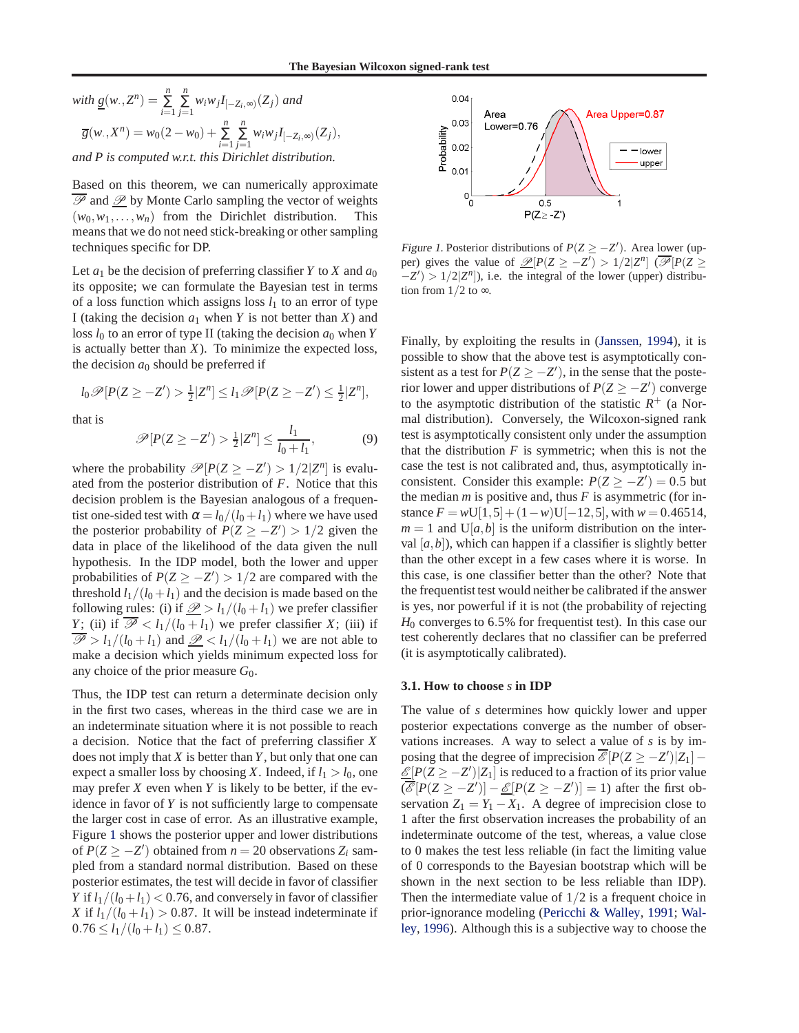with 
$$
\underline{g}(w, Z^n) = \sum_{i=1}^n \sum_{j=1}^n w_i w_j I_{[-Z_i, \infty)}(Z_j)
$$
 and  
\n
$$
\overline{g}(w, X^n) = w_0(2 - w_0) + \sum_{i=1}^n \sum_{j=1}^n w_i w_j I_{[-Z_i, \infty)}(Z_j),
$$
\nand P is computed w.r.t. this Dirichlet distribution.

Based on this theorem, we can numerically approximate  $\overline{\mathscr{P}}$  and  $\underline{\mathscr{P}}$  by Monte Carlo sampling the vector of weights  $(w_0, w_1, \ldots, w_n)$  from the Dirichlet distribution. This means that we do not need stick-breaking or other sampling techniques specific for DP.

Let  $a_1$  be the decision of preferring classifier *Y* to *X* and  $a_0$ its opposite; we can formulate the Bayesian test in terms of a loss function which assigns loss  $l_1$  to an error of type I (taking the decision  $a_1$  when *Y* is not better than *X*) and loss  $l_0$  to an error of type II (taking the decision  $a_0$  when *Y* is actually better than *X*). To minimize the expected loss, the decision  $a_0$  should be preferred if

$$
l_0\mathscr{P}[P(Z \geq -Z') > \tfrac{1}{2}|Z^n] \leq l_1\mathscr{P}[P(Z \geq -Z') \leq \tfrac{1}{2}|Z^n],
$$

that is

$$
\mathscr{P}[P(Z \ge -Z') > \frac{1}{2}|Z^n] \le \frac{l_1}{l_0 + l_1},\tag{9}
$$

where the probability  $\mathcal{P}[P(Z \ge -Z') > 1/2|Z^n]$  is evaluated from the posterior distribution of *F*. Notice that this decision problem is the Bayesian analogous of a frequentist one-sided test with  $\alpha = l_0/(l_0 + l_1)$  where we have used the posterior probability of  $P(Z \ge -Z') > 1/2$  given the data in place of the likelihood of the data given the null hypothesis. In the IDP model, both the lower and upper probabilities of  $P(Z \ge -Z') > 1/2$  are compared with the threshold  $l_1/(l_0 + l_1)$  and the decision is made based on the following rules: (i) if  $\mathcal{D} > l_1/(l_0 + l_1)$  we prefer classifier *Y*; (ii) if  $\overline{\mathscr{P}}$  < *l*<sub>1</sub>/(*l*<sub>0</sub> + *l*<sub>1</sub>) we prefer classifier *X*; (iii) if  $\overline{\mathcal{P}} > l_1/(l_0 + l_1)$  and  $\mathcal{P} < l_1/(l_0 + l_1)$  we are not able to make a decision which yields minimum expected loss for any choice of the prior measure *G*0.

Thus, the IDP test can return a determinate decision only in the first two cases, whereas in the third case we are in an indeterminate situation where it is not possible to reach a decision. Notice that the fact of preferring classifier *X* does not imply that *X* is better than *Y*, but only that one can expect a smaller loss by choosing *X*. Indeed, if  $l_1 > l_0$ , one may prefer  $X$  even when  $Y$  is likely to be better, if the evidence in favor of *Y* is not sufficiently large to compensate the larger cost in case of error. As an illustrative example, Figure 1 shows the posterior upper and lower distributions of  $P(Z \ge -Z')$  obtained from  $n = 20$  observations  $Z_i$  sampled from a standard normal distribution. Based on these posterior estimates, the test will decide in favor of classifier *Y* if  $l_1/(l_0 + l_1)$  < 0.76, and conversely in favor of classifier *X* if  $l_1/(l_0 + l_1) > 0.87$ . It will be instead indeterminate if  $0.76 \le l_1/(l_0 + l_1) \le 0.87$ .



Figure 1. Posterior distributions of  $P(Z \ge -Z')$ . Area lower (upper) gives the value of  $\mathcal{D}[P(Z \ge -Z') > 1/2|Z^n]$  ( $\overline{\mathcal{P}}[P(Z \ge$  $-Z'$ ) > 1/2|*Z<sup>n</sup>*]), i.e. the integral of the lower (upper) distribution from  $1/2$  to  $\infty$ .

Finally, by exploiting the results in [\(Janssen,](#page-8-0) [1994](#page-8-0)), it is possible to show that the above test is asymptotically consistent as a test for  $P(Z \ge -Z')$ , in the sense that the posterior lower and upper distributions of  $P(Z \ge -Z')$  converge to the asymptotic distribution of the statistic  $R^+$  (a Normal distribution). Conversely, the Wilcoxon-signed rank test is asymptotically consistent only under the assumption that the distribution  $F$  is symmetric; when this is not the case the test is not calibrated and, thus, asymptotically inconsistent. Consider this example:  $P(Z \ge -Z') = 0.5$  but the median  $m$  is positive and, thus  $F$  is asymmetric (for instance  $F = wU[1,5] + (1-w)U[-12,5]$ , with  $w = 0.46514$ ,  $m = 1$  and  $U[a, b]$  is the uniform distribution on the interval  $[a,b]$ ), which can happen if a classifier is slightly better than the other except in a few cases where it is worse. In this case, is one classifier better than the other? Note that the frequentist test would neither be calibrated if the answer is yes, nor powerful if it is not (the probability of rejecting *H*<sup>0</sup> converges to 6.5% for frequentist test). In this case our test coherently declares that no classifier can be preferred (it is asymptotically calibrated).

### **3.1. How to choose** *s* **in IDP**

The value of *s* determines how quickly lower and upper posterior expectations converge as the number of observations increases. A way to select a value of *s* is by imposing that the degree of imprecision  $\overline{\mathcal{E}}[P(Z \ge -Z')|Z_1]$  –  $\underline{\mathcal{E}}[P(Z \geq -Z')|Z_1]$  is reduced to a fraction of its prior value  $(\overline{\mathscr{E}}[P(Z \ge -Z')] - \underline{\mathscr{E}}[P(Z \ge -Z')] = 1)$  after the first observation  $Z_1 = Y_1 - X_1$ . A degree of imprecision close to 1 after the first observation increases the probability of an indeterminate outcome of the test, whereas, a value close to 0 makes the test less reliable (in fact the limiting value of 0 corresponds to the Bayesian bootstrap which will be shown in the next section to be less reliable than IDP). Then the intermediate value of  $1/2$  is a frequent choice in pri[or-ignorance modeling \(Pericchi & Walley,](#page-8-0) [1991;](#page-8-0) Walley, [1996\)](#page-8-0). Although this is a subjective way to choose the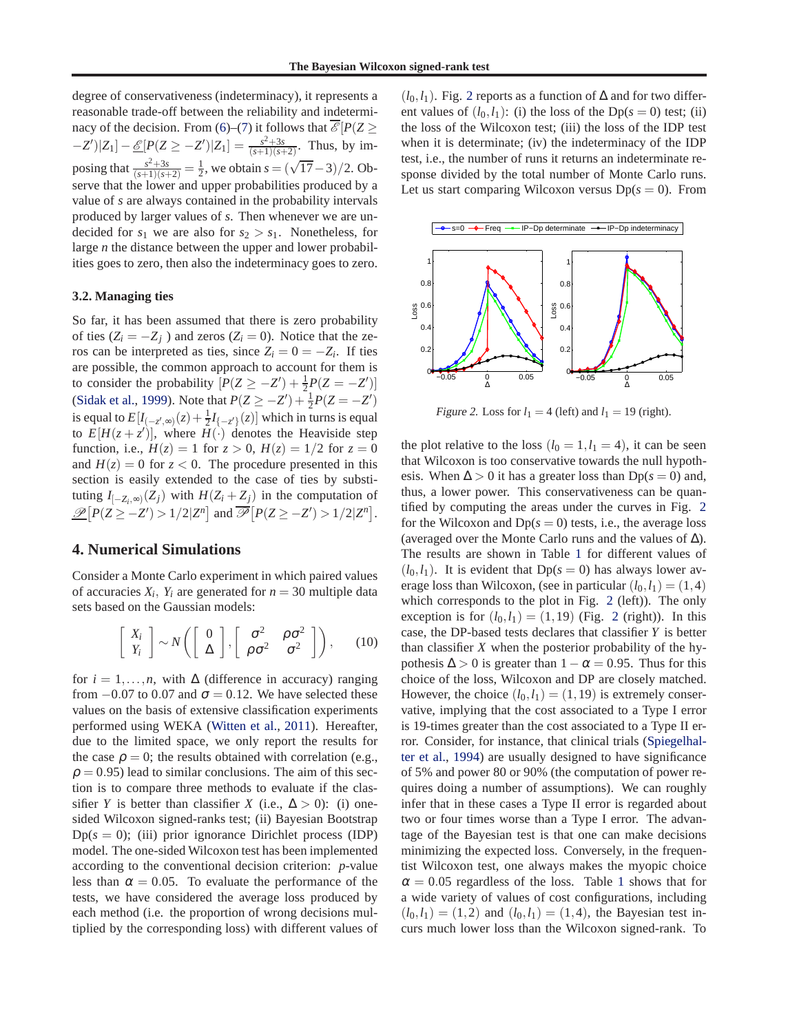<span id="page-5-0"></span>degree of conservativeness (indeterminacy), it represents a reasonable trade-off between the reliability and indetermi-nacy of the decision. From [\(6\)](#page-3-0)–[\(7\)](#page-3-0) it follows that  $\mathcal{E}[P(Z \geq$  $-Z'|Z_1] - \underline{\mathscr{E}}[P(Z \ge -Z')|Z_1] = \frac{s^2+3s}{(s+1)(s+2)}$ . Thus, by imposing that  $\frac{s^2+3s}{(s+1)(s+2)} = \frac{1}{2}$ , we obtain  $s = (\sqrt{17}-3)/2$ . Observe that the lower and upper probabilities produced by a value of *s* are always contained in the probability intervals produced by larger values of *s*. Then whenever we are undecided for  $s_1$  we are also for  $s_2 > s_1$ . Nonetheless, for large *n* the distance between the upper and lower probabilities goes to zero, then also the indeterminacy goes to zero.

#### **3.2. Managing ties**

So far, it has been assumed that there is zero probability of ties  $(Z_i = -Z_j)$  and zeros  $(Z_i = 0)$ . Notice that the zeros can be interpreted as ties, since  $Z_i = 0 = -Z_i$ . If ties are possible, the common approach to account for them is to consider the probability  $[P(Z \ge -Z') + \frac{1}{2}P(Z = -Z')]$ [\(Sidak et al.](#page-8-0), [1999](#page-8-0)). Note that  $P(Z \ge -Z') + \frac{1}{2}P(Z = -Z')$ is equal to  $E[I_{(-z',\infty)}(z) + \frac{1}{2}I_{(-z')}(z)]$  which in turns is equal to  $E[H(z+z')]$ , where  $H(\cdot)$  denotes the Heaviside step function, i.e.,  $H(z) = 1$  for  $z > 0$ ,  $H(z) = 1/2$  for  $z = 0$ and  $H(z) = 0$  for  $z < 0$ . The procedure presented in this section is easily extended to the case of ties by substituting  $I_{[-Z_i,\infty)}(Z_j)$  with  $H(Z_i + Z_j)$  in the computation of  $\mathcal{P}\left[P(Z \ge -Z') > 1/2|Z^n\right]$  and  $\overline{\mathcal{P}}\left[P(Z \ge -Z') > 1/2|Z^n\right]$ .

#### **4. Numerical Simulations**

Consider a Monte Carlo experiment in which paired values of accuracies  $X_i$ ,  $Y_i$  are generated for  $n = 30$  multiple data sets based on the Gaussian models:

$$
\left[\begin{array}{c} X_i \\ Y_i \end{array}\right] \sim N\left(\left[\begin{array}{c} 0 \\ \Delta \end{array}\right], \left[\begin{array}{cc} \sigma^2 & \rho \sigma^2 \\ \rho \sigma^2 & \sigma^2 \end{array}\right]\right), \qquad (10)
$$

for  $i = 1, \ldots, n$ , with  $\Delta$  (difference in accuracy) ranging from  $-0.07$  to 0.07 and  $\sigma = 0.12$ . We have selected these values on the basis of extensive classification experiments performed using WEKA [\(Witten et al.](#page-8-0), [2011](#page-8-0)). Hereafter, due to the limited space, we only report the results for the case  $\rho = 0$ ; the results obtained with correlation (e.g.,  $\rho = 0.95$ ) lead to similar conclusions. The aim of this section is to compare three methods to evaluate if the classifier *Y* is better than classifier *X* (i.e.,  $\Delta > 0$ ): (i) onesided Wilcoxon signed-ranks test; (ii) Bayesian Bootstrap  $Dp(s = 0)$ ; (iii) prior ignorance Dirichlet process (IDP) model. The one-sided Wilcoxon test has been implemented according to the conventional decision criterion: *p*-value less than  $\alpha = 0.05$ . To evaluate the performance of the tests, we have considered the average loss produced by each method (i.e. the proportion of wrong decisions multiplied by the corresponding loss) with different values of

 $(l_0, l_1)$ . Fig. 2 reports as a function of  $\Delta$  and for two different values of  $(l_0, l_1)$ : (i) the loss of the Dp( $s = 0$ ) test; (ii) the loss of the Wilcoxon test; (iii) the loss of the IDP test when it is determinate; (iv) the indeterminacy of the IDP test, i.e., the number of runs it returns an indeterminate response divided by the total number of Monte Carlo runs. Let us start comparing Wilcoxon versus  $Dp(s = 0)$ . From



Figure 2. Loss for  $l_1 = 4$  (left) and  $l_1 = 19$  (right).

the plot relative to the loss  $(l_0 = 1, l_1 = 4)$ , it can be seen that Wilcoxon is too conservative towards the null hypothesis. When  $\Delta > 0$  it has a greater loss than Dp( $s = 0$ ) and, thus, a lower power. This conservativeness can be quantified by computing the areas under the curves in Fig. 2 for the Wilcoxon and  $Dp(s = 0)$  tests, i.e., the average loss (averaged over the Monte Carlo runs and the values of ∆). The results are shown in Table [1](#page-6-0) for different values of  $(l_0, l_1)$ . It is evident that  $Dp(s = 0)$  has always lower average loss than Wilcoxon, (see in particular  $(l_0, l_1) = (1, 4)$ which corresponds to the plot in Fig. 2 (left)). The only exception is for  $(l_0, l_1) = (1, 19)$  (Fig. 2 (right)). In this case, the DP-based tests declares that classifier *Y* is better than classifier *X* when the posterior probability of the hypothesis  $\Delta > 0$  is greater than  $1 - \alpha = 0.95$ . Thus for this choice of the loss, Wilcoxon and DP are closely matched. However, the choice  $(l_0, l_1) = (1, 19)$  is extremely conservative, implying that the cost associated to a Type I error is 19-times greater than the cost associated to a Type II error. Co[nsider, for instance, that clinical trials \(](#page-8-0)Spiegelhalter et al., [1994\)](#page-8-0) are usually designed to have significance of 5% and power 80 or 90% (the computation of power requires doing a number of assumptions). We can roughly infer that in these cases a Type II error is regarded about two or four times worse than a Type I error. The advantage of the Bayesian test is that one can make decisions minimizing the expected loss. Conversely, in the frequentist Wilcoxon test, one always makes the myopic choice  $\alpha = 0.05$  regardless of the loss. Table [1](#page-6-0) shows that for a wide variety of values of cost configurations, including  $(l_0, l_1) = (1, 2)$  and  $(l_0, l_1) = (1, 4)$ , the Bayesian test incurs much lower loss than the Wilcoxon signed-rank. To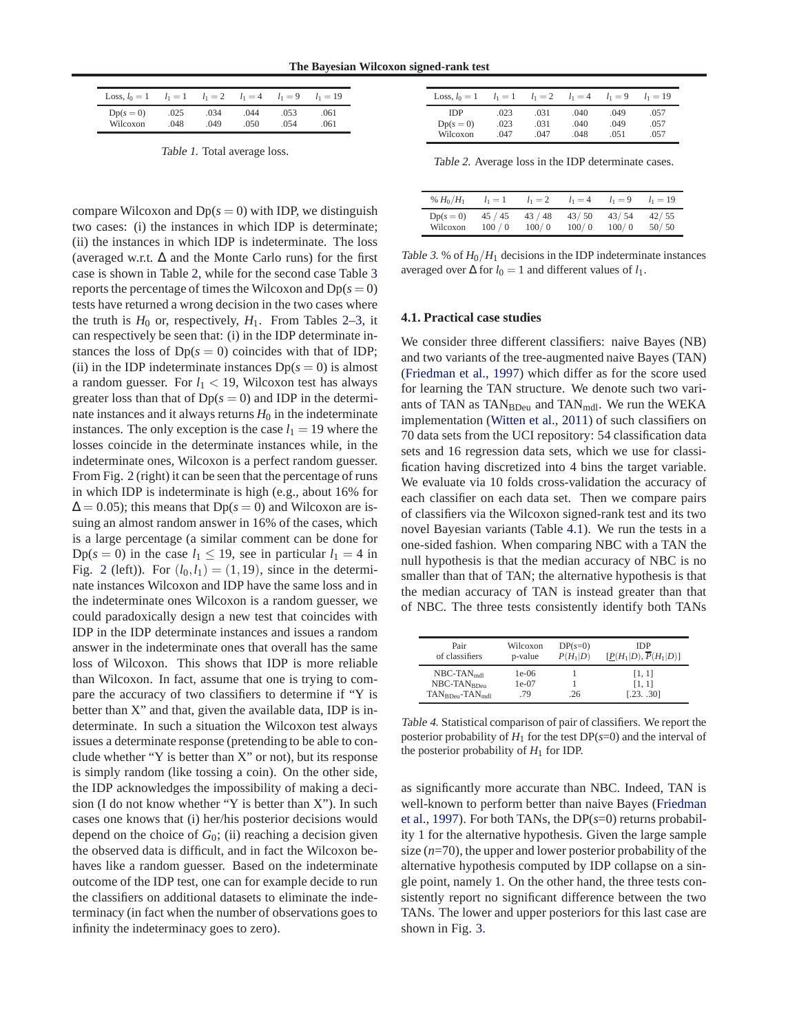<span id="page-6-0"></span>

| Loss, $l_0 = 1$ | $l_1 = 1$ | $l_1 = 2$ | $l_1 = 4$ | $l_1 = 9$ | $l_1 = 19$ |
|-----------------|-----------|-----------|-----------|-----------|------------|
| $Dp(s=0)$       | .025      | .034      | .044      | .053      | .061       |
| Wilcoxon        | .048      | .049      | .050      | .054      | .061       |

Table 1. Total average loss.

compare Wilcoxon and  $Dp(s = 0)$  with IDP, we distinguish two cases: (i) the instances in which IDP is determinate; (ii) the instances in which IDP is indeterminate. The loss (averaged w.r.t.  $\Delta$  and the Monte Carlo runs) for the first case is shown in Table 2, while for the second case Table 3 reports the percentage of times the Wilcoxon and  $Dp(s = 0)$ tests have returned a wrong decision in the two cases where the truth is  $H_0$  or, respectively,  $H_1$ . From Tables 2–3, it can respectively be seen that: (i) in the IDP determinate instances the loss of  $Dp(s = 0)$  coincides with that of IDP; (ii) in the IDP indeterminate instances  $Dp(s = 0)$  is almost a random guesser. For  $l_1 < 19$ , Wilcoxon test has always greater loss than that of  $Dp(s = 0)$  and IDP in the determinate instances and it always returns  $H_0$  in the indeterminate instances. The only exception is the case  $l_1 = 19$  where the losses coincide in the determinate instances while, in the indeterminate ones, Wilcoxon is a perfect random guesser. From Fig. [2](#page-5-0) (right) it can be seen that the percentage of runs in which IDP is indeterminate is high (e.g., about 16% for  $\Delta = 0.05$ ); this means that Dp( $s = 0$ ) and Wilcoxon are issuing an almost random answer in 16% of the cases, which is a large percentage (a similar comment can be done for Dp( $s = 0$ ) in the case  $l_1 \leq 19$ , see in particular  $l_1 = 4$  in Fig. [2](#page-5-0) (left)). For  $(l_0, l_1) = (1, 19)$ , since in the determinate instances Wilcoxon and IDP have the same loss and in the indeterminate ones Wilcoxon is a random guesser, we could paradoxically design a new test that coincides with IDP in the IDP determinate instances and issues a random answer in the indeterminate ones that overall has the same loss of Wilcoxon. This shows that IDP is more reliable than Wilcoxon. In fact, assume that one is trying to compare the accuracy of two classifiers to determine if "Y is better than X" and that, given the available data, IDP is indeterminate. In such a situation the Wilcoxon test always issues a determinate response (pretending to be able to conclude whether "Y is better than X" or not), but its response is simply random (like tossing a coin). On the other side, the IDP acknowledges the impossibility of making a decision (I do not know whether "Y is better than X"). In such cases one knows that (i) her/his posterior decisions would depend on the choice of  $G_0$ ; (ii) reaching a decision given the observed data is difficult, and in fact the Wilcoxon behaves like a random guesser. Based on the indeterminate outcome of the IDP test, one can for example decide to run the classifiers on additional datasets to eliminate the indeterminacy (in fact when the number of observations goes to infinity the indeterminacy goes to zero).

| Loss, $l_0 = 1$ | $l_1 = 1$ | $l_1 = 2$ | $l_1 = 4$ | $l_1 = 9$ | $l_1 = 19$ |
|-----------------|-----------|-----------|-----------|-----------|------------|
| <b>IDP</b>      | .023      | .031      | .040      | .049      | .057       |
| $Dp(s=0)$       | .023      | .031      | .040      | .049      | .057       |
| Wilcoxon        | .047      | .047      | .048      | .051      | .057       |

Table 2. Average loss in the IDP determinate cases.

| % $H_0/H_1$ | $l_1 = 1$ | $l_1 = 2$ | $l_1 = 4$ | $l_1 = 9$ | $l_1 = 19$ |
|-------------|-----------|-----------|-----------|-----------|------------|
| $Dp(s=0)$   | 45 / 45   | 43/48     | 43/50     | 43/54     | 42/55      |
| Wilcoxon    | 100/0     | 100/0     | 100/0     | 100/0     | 50/50      |

Table 3. % of  $H_0/H_1$  decisions in the IDP indeterminate instances averaged over  $\Delta$  for *l*<sub>0</sub> = 1 and different values of *l*<sub>1</sub>.

#### **4.1. Practical case studies**

We consider three different classifiers: naive Bayes (NB) and two variants of the tree-augmented naive Bayes (TAN) [\(Friedman et al.](#page-8-0), [1997](#page-8-0)) which differ as for the score used for learning the TAN structure. We denote such two variants of TAN as  $TAN_{BDeu}$  and  $TAN_{mdl}$ . We run the WEKA implementation [\(Witten et al.,](#page-8-0) [2011](#page-8-0)) of such classifiers on 70 data sets from the UCI repository: 54 classification data sets and 16 regression data sets, which we use for classification having discretized into 4 bins the target variable. We evaluate via 10 folds cross-validation the accuracy of each classifier on each data set. Then we compare pairs of classifiers via the Wilcoxon signed-rank test and its two novel Bayesian variants (Table 4.1). We run the tests in a one-sided fashion. When comparing NBC with a TAN the null hypothesis is that the median accuracy of NBC is no smaller than that of TAN; the alternative hypothesis is that the median accuracy of TAN is instead greater than that of NBC. The three tests consistently identify both TANs

| Pair<br>of classifiers | Wilcoxon<br>p-value | $DP(s=0)$<br>$P(H_1 D)$ | <b>IDP</b><br>$[\underline{P}(H_1 D), \overline{P}(H_1 D)]$ |
|------------------------|---------------------|-------------------------|-------------------------------------------------------------|
| $NBC-TAN_{\text{mod}}$ | $1e-06$             |                         | [1, 1]                                                      |
| $NBC-TANRDen$          | 1e-07               |                         | [1, 1]                                                      |
| $TANBDeu-TANmdl$       | 79                  | 26                      | [.23, .30]                                                  |

Table 4. Statistical comparison of pair of classifiers. We report the posterior probability of  $H_1$  for the test  $DP(s=0)$  and the interval of the posterior probability of  $H_1$  for IDP.

as significantly more accurate than NBC. Indeed, TAN is well[-known to perform better than naive Bayes \(](#page-8-0)Friedman et al., [1997\)](#page-8-0). For both TANs, the DP(*s*=0) returns probability 1 for the alternative hypothesis. Given the large sample size  $(n=70)$ , the upper and lower posterior probability of the alternative hypothesis computed by IDP collapse on a single point, namely 1. On the other hand, the three tests consistently report no significant difference between the two TANs. The lower and upper posteriors for this last case are shown in Fig. [3.](#page-7-0)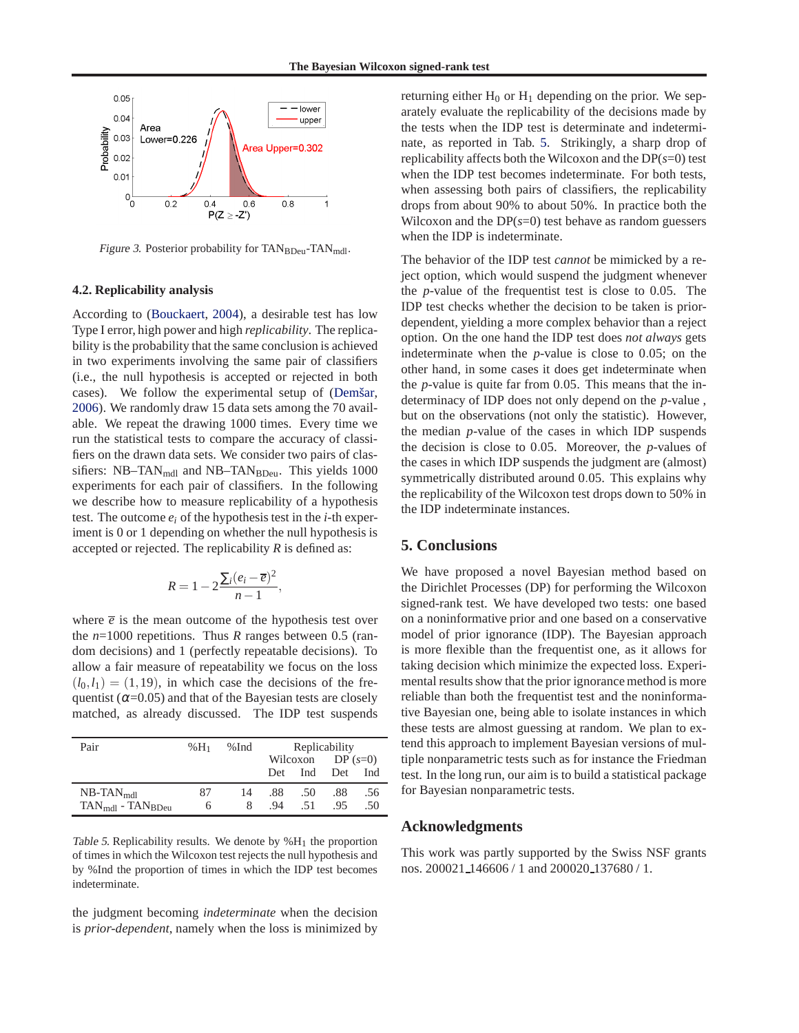<span id="page-7-0"></span>

Figure 3. Posterior probability for  $TAN_{BDeu}$ -TAN<sub>mdl</sub>.

#### **4.2. Replicability analysis**

According to [\(Bouckaert](#page-8-0), [2004](#page-8-0)), a desirable test has low Type I error, high power and high *replicability*. The replicability is the probability that the same conclusion is achieved in two experiments involving the same pair of classifiers (i.e., the null hypothesis is accepted or rejected in both cases). We follow the experimental setup of (Demšar, [2006\)](#page-8-0). We randomly draw 15 data sets among the 70 available. We repeat the drawing 1000 times. Every time we run the statistical tests to compare the accuracy of classifiers on the drawn data sets. We consider two pairs of classifiers:  $NB-TAN_{\text{mdl}}$  and  $NB-TAN_{\text{BDeu}}$ . This yields 1000 experiments for each pair of classifiers. In the following we describe how to measure replicability of a hypothesis test. The outcome *e<sup>i</sup>* of the hypothesis test in the *i*-th experiment is 0 or 1 depending on whether the null hypothesis is accepted or rejected. The replicability *R* is defined as:

$$
R=1-2\frac{\sum_{i}(e_i-\overline{e})^2}{n-1},
$$

where  $\bar{e}$  is the mean outcome of the hypothesis test over the *n*=1000 repetitions. Thus *R* ranges between 0.5 (random decisions) and 1 (perfectly repeatable decisions). To allow a fair measure of repeatability we focus on the loss  $(l_0, l_1) = (1, 19)$ , in which case the decisions of the frequentist ( $\alpha$ =0.05) and that of the Bayesian tests are closely matched, as already discussed. The IDP test suspends

| Pair                                     | $%H_1$ | %Ind | Replicability |     |     |           |  |
|------------------------------------------|--------|------|---------------|-----|-----|-----------|--|
|                                          |        |      | Wilcoxon      |     |     | $DP(s=0)$ |  |
|                                          |        |      | Det           | Ind | Det | Ind       |  |
| $NB$ -TAN $_{\text{mdl}}$                | 87     | 14   | .88           | .50 | .88 | .56       |  |
| $TAN_{\text{mdl}}$ - $TAN_{\text{BDeu}}$ | 6      | 8    | $-94$         | .51 | .95 | .50       |  |

Table 5. Replicability results. We denote by  $%H_1$  the proportion of times in which the Wilcoxon test rejects the null hypothesis and by %Ind the proportion of times in which the IDP test becomes indeterminate.

the judgment becoming *indeterminate* when the decision is *prior-dependent*, namely when the loss is minimized by returning either  $H_0$  or  $H_1$  depending on the prior. We separately evaluate the replicability of the decisions made by the tests when the IDP test is determinate and indeterminate, as reported in Tab. 5. Strikingly, a sharp drop of replicability affects both the Wilcoxon and the DP(*s*=0) test when the IDP test becomes indeterminate. For both tests, when assessing both pairs of classifiers, the replicability drops from about 90% to about 50%. In practice both the Wilcoxon and the  $DP(s=0)$  test behave as random guessers when the IDP is indeterminate.

The behavior of the IDP test *cannot* be mimicked by a reject option, which would suspend the judgment whenever the *p*-value of the frequentist test is close to 0.05. The IDP test checks whether the decision to be taken is priordependent, yielding a more complex behavior than a reject option. On the one hand the IDP test does *not always* gets indeterminate when the *p*-value is close to 0.05; on the other hand, in some cases it does get indeterminate when the *p*-value is quite far from 0.05. This means that the indeterminacy of IDP does not only depend on the *p*-value , but on the observations (not only the statistic). However, the median *p*-value of the cases in which IDP suspends the decision is close to 0.05. Moreover, the *p*-values of the cases in which IDP suspends the judgment are (almost) symmetrically distributed around 0.05. This explains why the replicability of the Wilcoxon test drops down to 50% in the IDP indeterminate instances.

## **5. Conclusions**

We have proposed a novel Bayesian method based on the Dirichlet Processes (DP) for performing the Wilcoxon signed-rank test. We have developed two tests: one based on a noninformative prior and one based on a conservative model of prior ignorance (IDP). The Bayesian approach is more flexible than the frequentist one, as it allows for taking decision which minimize the expected loss. Experimental results show that the prior ignorance method is more reliable than both the frequentist test and the noninformative Bayesian one, being able to isolate instances in which these tests are almost guessing at random. We plan to extend this approach to implement Bayesian versions of multiple nonparametric tests such as for instance the Friedman test. In the long run, our aim is to build a statistical package for Bayesian nonparametric tests.

### **Acknowledgments**

This work was partly supported by the Swiss NSF grants nos. 200021 146606 / 1 and 200020 137680 / 1.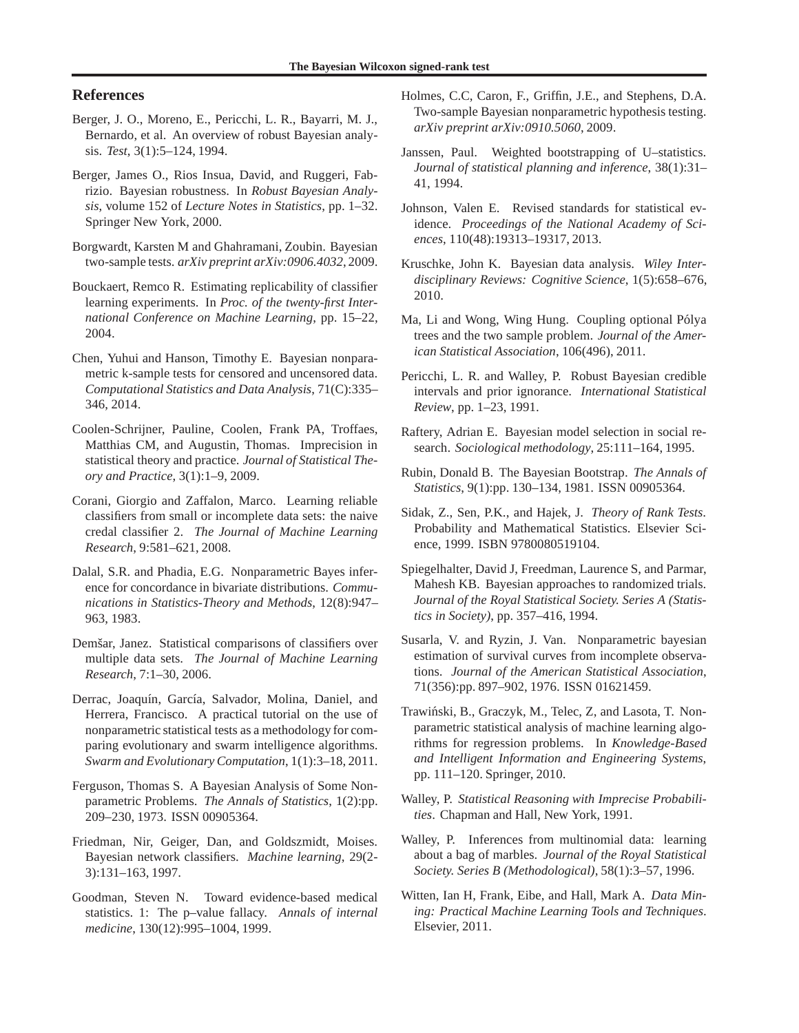## <span id="page-8-0"></span>**References**

- Berger, J. O., Moreno, E., Pericchi, L. R., Bayarri, M. J., Bernardo, et al. An overview of robust Bayesian analysis. *Test*, 3(1):5–124, 1994.
- Berger, James O., Rios Insua, David, and Ruggeri, Fabrizio. Bayesian robustness. In *Robust Bayesian Analysis*, volume 152 of *Lecture Notes in Statistics*, pp. 1–32. Springer New York, 2000.
- Borgwardt, Karsten M and Ghahramani, Zoubin. Bayesian two-sample tests. *arXiv preprint arXiv:0906.4032*, 2009.
- Bouckaert, Remco R. Estimating replicability of classifier learning experiments. In *Proc. of the twenty-first International Conference on Machine Learning*, pp. 15–22, 2004.
- Chen, Yuhui and Hanson, Timothy E. Bayesian nonparametric k-sample tests for censored and uncensored data. *Computational Statistics and Data Analysis*, 71(C):335– 346, 2014.
- Coolen-Schrijner, Pauline, Coolen, Frank PA, Troffaes, Matthias CM, and Augustin, Thomas. Imprecision in statistical theory and practice. *Journal of Statistical Theory and Practice*, 3(1):1–9, 2009.
- Corani, Giorgio and Zaffalon, Marco. Learning reliable classifiers from small or incomplete data sets: the naive credal classifier 2. *The Journal of Machine Learning Research*, 9:581–621, 2008.
- Dalal, S.R. and Phadia, E.G. Nonparametric Bayes inference for concordance in bivariate distributions. *Communications in Statistics-Theory and Methods*, 12(8):947– 963, 1983.
- Demšar, Janez. Statistical comparisons of classifiers over multiple data sets. *The Journal of Machine Learning Research*, 7:1–30, 2006.
- Derrac, Joaquín, García, Salvador, Molina, Daniel, and Herrera, Francisco. A practical tutorial on the use of nonparametric statistical tests as a methodology for comparing evolutionary and swarm intelligence algorithms. *Swarm and Evolutionary Computation*, 1(1):3–18, 2011.
- Ferguson, Thomas S. A Bayesian Analysis of Some Nonparametric Problems. *The Annals of Statistics*, 1(2):pp. 209–230, 1973. ISSN 00905364.
- Friedman, Nir, Geiger, Dan, and Goldszmidt, Moises. Bayesian network classifiers. *Machine learning*, 29(2- 3):131–163, 1997.
- Goodman, Steven N. Toward evidence-based medical statistics. 1: The p–value fallacy. *Annals of internal medicine*, 130(12):995–1004, 1999.
- Holmes, C.C, Caron, F., Griffin, J.E., and Stephens, D.A. Two-sample Bayesian nonparametric hypothesis testing. *arXiv preprint arXiv:0910.5060*, 2009.
- Janssen, Paul. Weighted bootstrapping of U–statistics. *Journal of statistical planning and inference*, 38(1):31– 41, 1994.
- Johnson, Valen E. Revised standards for statistical evidence. *Proceedings of the National Academy of Sciences*, 110(48):19313–19317, 2013.
- Kruschke, John K. Bayesian data analysis. *Wiley Interdisciplinary Reviews: Cognitive Science*, 1(5):658–676, 2010.
- Ma, Li and Wong, Wing Hung. Coupling optional Pólya trees and the two sample problem. *Journal of the American Statistical Association*, 106(496), 2011.
- Pericchi, L. R. and Walley, P. Robust Bayesian credible intervals and prior ignorance. *International Statistical Review*, pp. 1–23, 1991.
- Raftery, Adrian E. Bayesian model selection in social research. *Sociological methodology*, 25:111–164, 1995.
- Rubin, Donald B. The Bayesian Bootstrap. *The Annals of Statistics*, 9(1):pp. 130–134, 1981. ISSN 00905364.
- Sidak, Z., Sen, P.K., and Hajek, J. *Theory of Rank Tests*. Probability and Mathematical Statistics. Elsevier Science, 1999. ISBN 9780080519104.
- Spiegelhalter, David J, Freedman, Laurence S, and Parmar, Mahesh KB. Bayesian approaches to randomized trials. *Journal of the Royal Statistical Society. Series A (Statistics in Society)*, pp. 357–416, 1994.
- Susarla, V. and Ryzin, J. Van. Nonparametric bayesian estimation of survival curves from incomplete observations. *Journal of the American Statistical Association*, 71(356):pp. 897–902, 1976. ISSN 01621459.
- Trawiński, B., Graczyk, M., Telec, Z, and Lasota, T. Nonparametric statistical analysis of machine learning algorithms for regression problems. In *Knowledge-Based and Intelligent Information and Engineering Systems*, pp. 111–120. Springer, 2010.
- Walley, P. *Statistical Reasoning with Imprecise Probabilities*. Chapman and Hall, New York, 1991.
- Walley, P. Inferences from multinomial data: learning about a bag of marbles. *Journal of the Royal Statistical Society. Series B (Methodological)*, 58(1):3–57, 1996.
- Witten, Ian H, Frank, Eibe, and Hall, Mark A. *Data Mining: Practical Machine Learning Tools and Techniques*. Elsevier, 2011.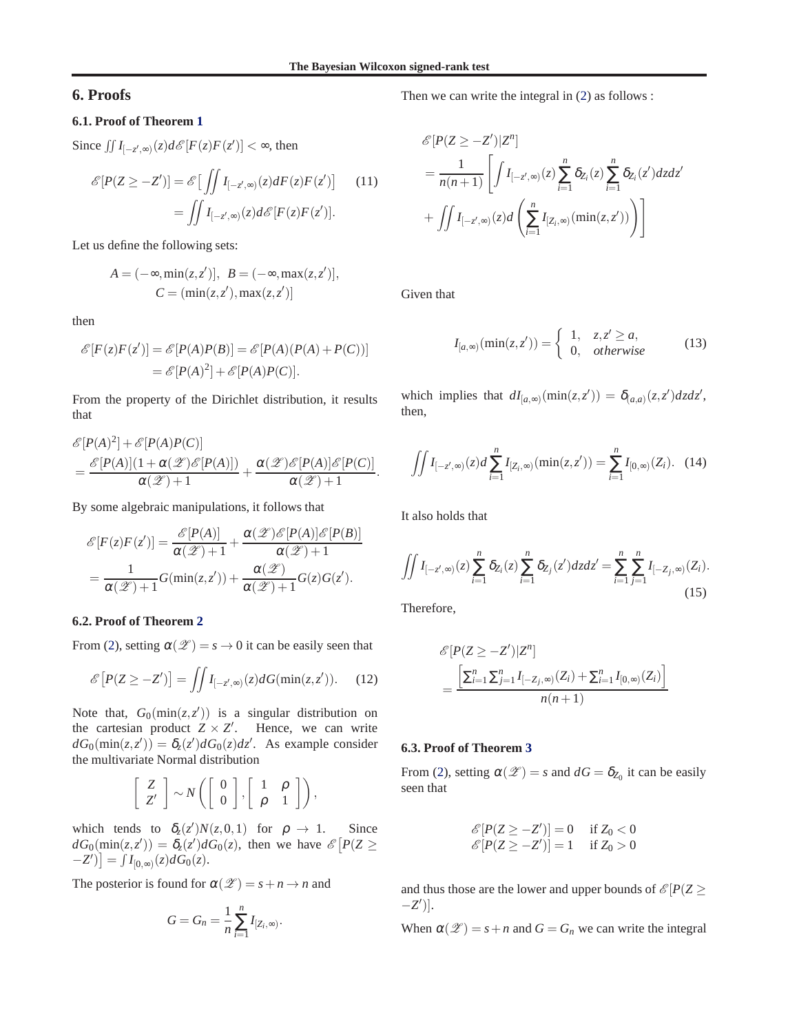## <span id="page-9-0"></span>**6. Proofs**

## **6.1. Proof of Theorem [1](#page-2-0)**

Since  $\iint I_{[-z',\infty)}(z) d\mathscr{E}[F(z)F(z')] < \infty$ , then

$$
\mathscr{E}[P(Z \ge -Z')] = \mathscr{E}\left[\iint I_{[-z',\infty)}(z)dF(z)F(z')\right]
$$
 (11)  

$$
= \iint I_{[-z',\infty)}(z)d\mathscr{E}[F(z)F(z')].
$$

Let us define the following sets:

$$
A = (-\infty, \min(z, z')], \ B = (-\infty, \max(z, z')],
$$
  

$$
C = (\min(z, z'), \max(z, z'))
$$

then

$$
\mathcal{E}[F(z)F(z')] = \mathcal{E}[P(A)P(B)] = \mathcal{E}[P(A)(P(A) + P(C))]
$$

$$
= \mathcal{E}[P(A)^{2}] + \mathcal{E}[P(A)P(C)].
$$

From the property of the Dirichlet distribution, it results that

$$
\mathcal{E}[P(A)^{2}] + \mathcal{E}[P(A)P(C)]
$$
  
= 
$$
\frac{\mathcal{E}[P(A)](1 + \alpha(\mathcal{L})\mathcal{E}[P(A)])}{\alpha(\mathcal{L}) + 1} + \frac{\alpha(\mathcal{L})\mathcal{E}[P(A)]\mathcal{E}[P(C)]}{\alpha(\mathcal{L}) + 1}
$$

By some algebraic manipulations, it follows that

$$
\mathcal{E}[F(z)F(z')] = \frac{\mathcal{E}[P(A)]}{\alpha(\mathcal{Z})+1} + \frac{\alpha(\mathcal{Z})\mathcal{E}[P(A)]\mathcal{E}[P(B)]}{\alpha(\mathcal{Z})+1}
$$

$$
= \frac{1}{\alpha(\mathcal{Z})+1}G(\min(z,z')) + \frac{\alpha(\mathcal{Z})}{\alpha(\mathcal{Z})+1}G(z)G(z').
$$

#### **6.2. Proof of Theorem [2](#page-3-0)**

From [\(2\)](#page-2-0), setting  $\alpha(\mathscr{Z}) = s \to 0$  it can be easily seen that

$$
\mathscr{E}\left[P(Z \ge -Z')\right] = \iint I_{[-z',\infty)}(z) dG(\min(z,z')). \tag{12}
$$

Note that,  $G_0(\min(z, z'))$  is a singular distribution on the cartesian product  $Z \times Z'$ . Hence, we can write  $dG_0(\text{min}(z, z')) = \delta_z(z') dG_0(z) dz'$ . As example consider the multivariate Normal distribution

$$
\left[\begin{array}{c} Z \\ Z' \end{array}\right] \sim N\left(\left[\begin{array}{c} 0 \\ 0 \end{array}\right], \left[\begin{array}{cc} 1 & \rho \\ \rho & 1 \end{array}\right]\right),
$$

which tends to  $\delta_z(z')N(z,0,1)$  for  $\rho \to 1$ . Since  $dG_0(\min(z, z')) = \delta_z(z') dG_0(z)$ , then we have  $\mathscr{E}[P(Z \geq$  $-Z'$ )] =  $\int I_{[0,\infty)}(z) dG_0(z)$ .

The posterior is found for  $\alpha(\mathscr{Z}) = s + n \rightarrow n$  and

$$
G=G_n=\frac{1}{n}\sum_{i=1}^n I_{[Z_i,\infty)}.
$$

Then we can write the integral in [\(2\)](#page-2-0) as follows :

$$
\mathcal{E}[P(Z \ge -Z')|Z^n]
$$
\n
$$
= \frac{1}{n(n+1)} \left[ \int I_{[-z',\infty)}(z) \sum_{i=1}^n \delta_{Z_i}(z) \sum_{i=1}^n \delta_{Z_i}(z') dz dz' + \int \int I_{[-z',\infty)}(z) dz' \left( \sum_{i=1}^n I_{[Z_i,\infty)}(\min(z,z')) \right) \right]
$$

Given that

$$
I_{[a,\infty)}(\min(z,z')) = \begin{cases} 1, & z,z' \ge a, \\ 0, & otherwise \end{cases}
$$
 (13)

which implies that  $dI_{[a,\infty)}(\min(z, z')) = \delta_{(a,a)}(z, z')dzdz'$ , then,

$$
\iint I_{[-z',\infty)}(z)d\sum_{i=1}^n I_{[Z_i,\infty)}(\min(z,z')) = \sum_{i=1}^n I_{[0,\infty)}(Z_i). \quad (14)
$$

It also holds that

.

$$
\iint I_{[-z',\infty)}(z) \sum_{i=1}^{n} \delta_{Z_i}(z) \sum_{i=1}^{n} \delta_{Z_j}(z') dz dz' = \sum_{i=1}^{n} \sum_{j=1}^{n} I_{[-Z_j,\infty)}(Z_i).
$$
\n(15)

Therefore,

$$
\mathcal{E}[P(Z \ge -Z')|Z^n]
$$
  
= 
$$
\frac{\left[\sum_{i=1}^n \sum_{j=1}^n I_{[-Z_j,\infty)}(Z_i) + \sum_{i=1}^n I_{[0,\infty)}(Z_i)\right]}{n(n+1)}
$$

#### **6.3. Proof of Theorem [3](#page-3-0)**

From [\(2\)](#page-2-0), setting  $\alpha(\mathscr{Z}) = s$  and  $dG = \delta_{Z_0}$  it can be easily seen that

$$
\begin{aligned}\n\mathcal{E}[P(Z \ge -Z')] &= 0 & \text{if } Z_0 < 0 \\
\mathcal{E}[P(Z \ge -Z')] &= 1 & \text{if } Z_0 > 0\n\end{aligned}
$$

and thus those are the lower and upper bounds of  $\mathcal{E}[P(Z \geq$ −*Z* ′ )].

When  $\alpha(\mathscr{Z}) = s + n$  and  $G = G_n$  we can write the integral